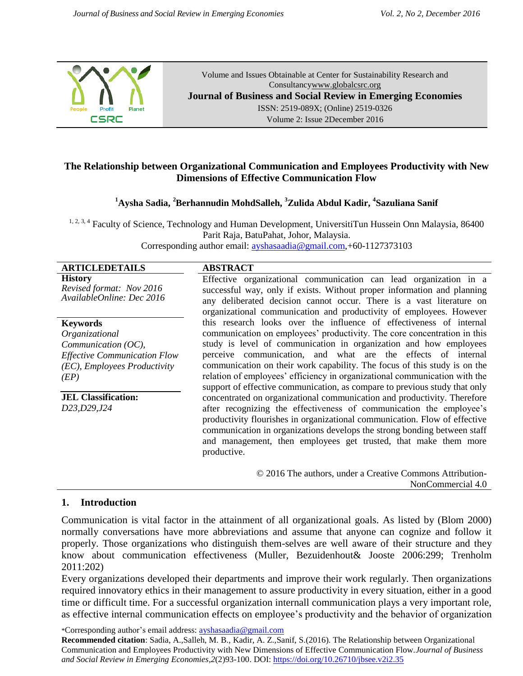

Volume and Issues Obtainable at Center for Sustainability Research and Consultanc[ywww.globalcsrc.org](http://www.globalcsrc.org/) **Journal of Business and Social Review in Emerging Economies** ISSN: 2519-089X; (Online) 2519-0326 Volume 2: Issue 2December 2016

# **The Relationship between Organizational Communication and Employees Productivity with New Dimensions of Effective Communication Flow**

**<sup>1</sup>Aysha Sadia, <sup>2</sup>Berhannudin MohdSalleh, <sup>3</sup>Zulida Abdul Kadir, <sup>4</sup> Sazuliana Sanif**

<sup>1, 2, 3, 4</sup> Faculty of Science, Technology and Human Development, UniversitiTun Hussein Onn Malaysia, 86400 Parit Raja, BatuPahat, Johor, Malaysia. Corresponding author email: [ayshasaadia@gmail.com,](mailto:ayshasaadia@gmail.com)+60-1127373103

# **ARTICLEDETAILS ABSTRACT**

**History** *Revised format: Nov 2016 AvailableOnline: Dec 2016*

#### **Keywords**

*Organizational Communication (OC), Effective Communication Flow (EC), Employees Productivity (EP)*

Effective organizational communication can lead organization in a successful way, only if exists. Without proper information and planning any deliberated decision cannot occur. There is a vast literature on organizational communication and productivity of employees. However this research looks over the influence of effectiveness of internal communication on employees' productivity. The core concentration in this study is level of communication in organization and how employees perceive communication, and what are the effects of internal communication on their work capability. The focus of this study is on the relation of employees' efficiency in organizational communication with the support of effective communication, as compare to previous study that only concentrated on organizational communication and productivity. Therefore after recognizing the effectiveness of communication the employee's productivity flourishes in organizational communication. Flow of effective communication in organizations develops the strong bonding between staff and management, then employees get trusted, that make them more productive.

> © 2016 The authors, under a Creative Commons Attribution-NonCommercial 4.0

# **1. Introduction**

**JEL Classification:** *D23,D29,J24*

Communication is vital factor in the attainment of all organizational goals. As listed by (Blom 2000) normally conversations have more abbreviations and assume that anyone can cognize and follow it properly. Those organizations who distinguish them-selves are well aware of their structure and they know about communication effectiveness (Muller, Bezuidenhout& Jooste 2006:299; Trenholm 2011:202)

Every organizations developed their departments and improve their work regularly. Then organizations required innovatory ethics in their management to assure productivity in every situation, either in a good time or difficult time. For a successful organization internall communication plays a very important role, as effective internal communication effects on employee's productivity and the behavior of organization

\*Corresponding author's email address: ayshasaadia@gmail.com

**Recommended citation**: Sadia, A.,Salleh, M. B., Kadir, A. Z.,Sanif, S.(2016). The Relationship between Organizational Communication and Employees Productivity with New Dimensions of Effective Communication Flow.*Journal of Business and Social Review in Emerging Economies,2*(2)93-100. DOI: https://doi.org/10.26710/jbsee.v2i2.35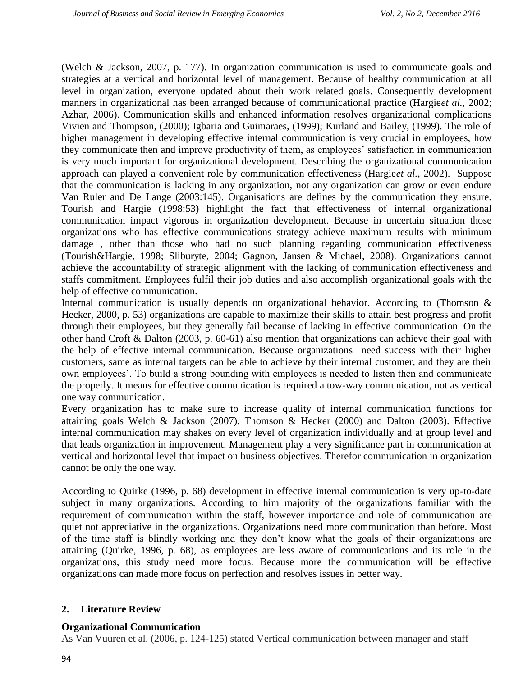(Welch & Jackson, 2007, p. 177). In organization communication is used to communicate goals and strategies at a vertical and horizontal level of management. Because of healthy communication at all level in organization, everyone updated about their work related goals. Consequently development manners in organizational has been arranged because of communicational practice (Hargie*et al.,* 2002; Azhar, 2006). Communication skills and enhanced information resolves organizational complications Vivien and Thompson, (2000); Igbaria and Guimaraes, (1999); Kurland and Bailey, (1999). The role of higher management in developing effective internal communication is very crucial in employees, how they communicate then and improve productivity of them, as employees' satisfaction in communication is very much important for organizational development. Describing the organizational communication approach can played a convenient role by communication effectiveness (Hargie*et al.,* 2002). Suppose that the communication is lacking in any organization, not any organization can grow or even endure Van Ruler and De Lange (2003:145). Organisations are defines by the communication they ensure. Tourish and Hargie (1998:53) highlight the fact that effectiveness of internal organizational communication impact vigorous in organization development. Because in uncertain situation those organizations who has effective communications strategy achieve maximum results with minimum damage , other than those who had no such planning regarding communication effectiveness (Tourish&Hargie, 1998; Sliburyte, 2004; Gagnon, Jansen & Michael, 2008). Organizations cannot achieve the accountability of strategic alignment with the lacking of communication effectiveness and staffs commitment. Employees fulfil their job duties and also accomplish organizational goals with the help of effective communication.

Internal communication is usually depends on organizational behavior. According to (Thomson  $\&$ Hecker, 2000, p. 53) organizations are capable to maximize their skills to attain best progress and profit through their employees, but they generally fail because of lacking in effective communication. On the other hand Croft & Dalton (2003, p. 60-61) also mention that organizations can achieve their goal with the help of effective internal communication. Because organizations need success with their higher customers, same as internal targets can be able to achieve by their internal customer, and they are their own employees'. To build a strong bounding with employees is needed to listen then and communicate the properly. It means for effective communication is required a tow-way communication, not as vertical one way communication.

Every organization has to make sure to increase quality of internal communication functions for attaining goals Welch & Jackson (2007), Thomson & Hecker (2000) and Dalton (2003). Effective internal communication may shakes on every level of organization individually and at group level and that leads organization in improvement. Management play a very significance part in communication at vertical and horizontal level that impact on business objectives. Therefor communication in organization cannot be only the one way.

According to Quirke (1996, p. 68) development in effective internal communication is very up-to-date subject in many organizations. According to him majority of the organizations familiar with the requirement of communication within the staff, however importance and role of communication are quiet not appreciative in the organizations. Organizations need more communication than before. Most of the time staff is blindly working and they don't know what the goals of their organizations are attaining (Quirke, 1996, p. 68), as employees are less aware of communications and its role in the organizations, this study need more focus. Because more the communication will be effective organizations can made more focus on perfection and resolves issues in better way.

# **2. Literature Review**

# **Organizational Communication**

As Van Vuuren et al. (2006, p. 124-125) stated Vertical communication between manager and staff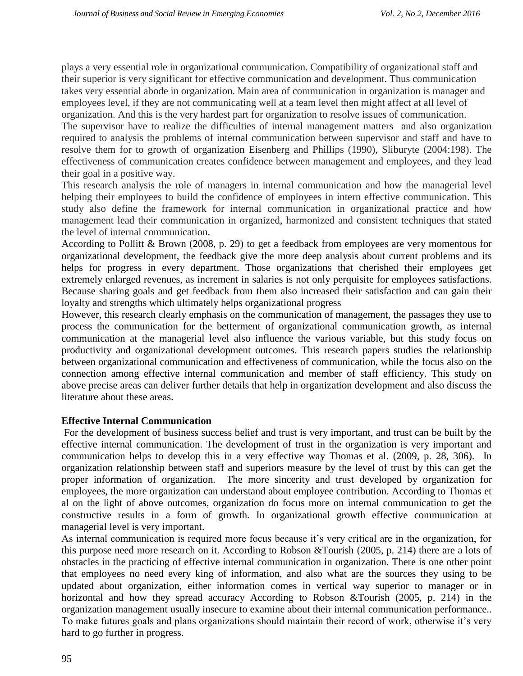plays a very essential role in organizational communication. Compatibility of organizational staff and their superior is very significant for effective communication and development. Thus communication takes very essential abode in organization. Main area of communication in organization is manager and employees level, if they are not communicating well at a team level then might affect at all level of organization. And this is the very hardest part for organization to resolve issues of communication.

The supervisor have to realize the difficulties of internal management matters and also organization required to analysis the problems of internal communication between supervisor and staff and have to resolve them for to growth of organization Eisenberg and Phillips (1990), Sliburyte (2004:198). The effectiveness of communication creates confidence between management and employees, and they lead their goal in a positive way.

This research analysis the role of managers in internal communication and how the managerial level helping their employees to build the confidence of employees in intern effective communication. This study also define the framework for internal communication in organizational practice and how management lead their communication in organized, harmonized and consistent techniques that stated the level of internal communication.

According to Pollitt & Brown (2008, p. 29) to get a feedback from employees are very momentous for organizational development, the feedback give the more deep analysis about current problems and its helps for progress in every department. Those organizations that cherished their employees get extremely enlarged revenues, as increment in salaries is not only perquisite for employees satisfactions. Because sharing goals and get feedback from them also increased their satisfaction and can gain their loyalty and strengths which ultimately helps organizational progress

However, this research clearly emphasis on the communication of management, the passages they use to process the communication for the betterment of organizational communication growth, as internal communication at the managerial level also influence the various variable, but this study focus on productivity and organizational development outcomes. This research papers studies the relationship between organizational communication and effectiveness of communication, while the focus also on the connection among effective internal communication and member of staff efficiency. This study on above precise areas can deliver further details that help in organization development and also discuss the literature about these areas.

# **Effective Internal Communication**

For the development of business success belief and trust is very important, and trust can be built by the effective internal communication. The development of trust in the organization is very important and communication helps to develop this in a very effective way Thomas et al. (2009, p. 28, 306). In organization relationship between staff and superiors measure by the level of trust by this can get the proper information of organization. The more sincerity and trust developed by organization for employees, the more organization can understand about employee contribution. According to Thomas et al on the light of above outcomes, organization do focus more on internal communication to get the constructive results in a form of growth. In organizational growth effective communication at managerial level is very important.

As internal communication is required more focus because it's very critical are in the organization, for this purpose need more research on it. According to Robson &Tourish (2005, p. 214) there are a lots of obstacles in the practicing of effective internal communication in organization. There is one other point that employees no need every king of information, and also what are the sources they using to be updated about organization, either information comes in vertical way superior to manager or in horizontal and how they spread accuracy According to Robson &Tourish (2005, p. 214) in the organization management usually insecure to examine about their internal communication performance.. To make futures goals and plans organizations should maintain their record of work, otherwise it's very hard to go further in progress.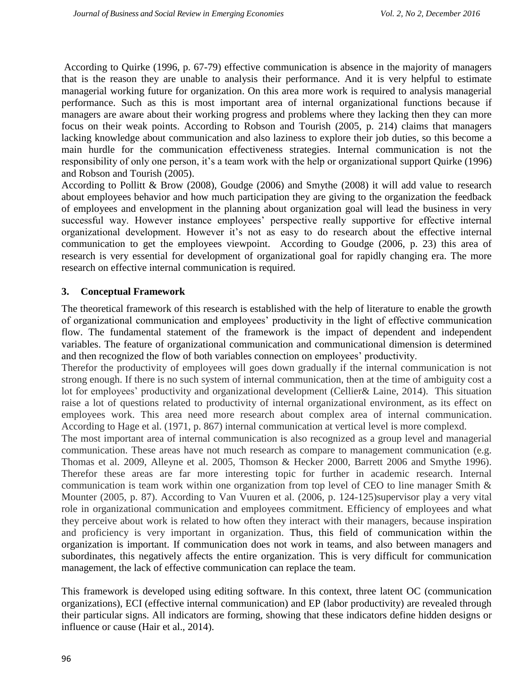According to Quirke (1996, p. 67-79) effective communication is absence in the majority of managers that is the reason they are unable to analysis their performance. And it is very helpful to estimate managerial working future for organization. On this area more work is required to analysis managerial performance. Such as this is most important area of internal organizational functions because if managers are aware about their working progress and problems where they lacking then they can more focus on their weak points. According to Robson and Tourish (2005, p. 214) claims that managers lacking knowledge about communication and also laziness to explore their job duties, so this become a main hurdle for the communication effectiveness strategies. Internal communication is not the responsibility of only one person, it's a team work with the help or organizational support Quirke (1996) and Robson and Tourish (2005).

According to Pollitt & Brow (2008), Goudge (2006) and Smythe (2008) it will add value to research about employees behavior and how much participation they are giving to the organization the feedback of employees and envelopment in the planning about organization goal will lead the business in very successful way. However instance employees' perspective really supportive for effective internal organizational development. However it's not as easy to do research about the effective internal communication to get the employees viewpoint. According to Goudge (2006, p. 23) this area of research is very essential for development of organizational goal for rapidly changing era. The more research on effective internal communication is required.

# **3. Conceptual Framework**

The theoretical framework of this research is established with the help of literature to enable the growth of organizational communication and employees' productivity in the light of effective communication flow. The fundamental statement of the framework is the impact of dependent and independent variables. The feature of organizational communication and communicational dimension is determined and then recognized the flow of both variables connection on employees' productivity.

Therefor the productivity of employees will goes down gradually if the internal communication is not strong enough. If there is no such system of internal communication, then at the time of ambiguity cost a lot for employees' productivity and organizational development (Cellier& Laine, 2014). This situation raise a lot of questions related to productivity of internal organizational environment, as its effect on employees work. This area need more research about complex area of internal communication. According to Hage et al. (1971, p. 867) internal communication at vertical level is more complexd.

The most important area of internal communication is also recognized as a group level and managerial communication. These areas have not much research as compare to management communication (e.g. Thomas et al. 2009, Alleyne et al. 2005, Thomson & Hecker 2000, Barrett 2006 and Smythe 1996). Therefor these areas are far more interesting topic for further in academic research. Internal communication is team work within one organization from top level of CEO to line manager Smith & Mounter (2005, p. 87). According to Van Vuuren et al. (2006, p. 124-125)supervisor play a very vital role in organizational communication and employees commitment. Efficiency of employees and what they perceive about work is related to how often they interact with their managers, because inspiration and proficiency is very important in organization. Thus, this field of communication within the organization is important. If communication does not work in teams, and also between managers and subordinates, this negatively affects the entire organization. This is very difficult for communication management, the lack of effective communication can replace the team.

This framework is developed using editing software. In this context, three latent OC (communication organizations), ECI (effective internal communication) and EP (labor productivity) are revealed through their particular signs. All indicators are forming, showing that these indicators define hidden designs or influence or cause (Hair et al., 2014).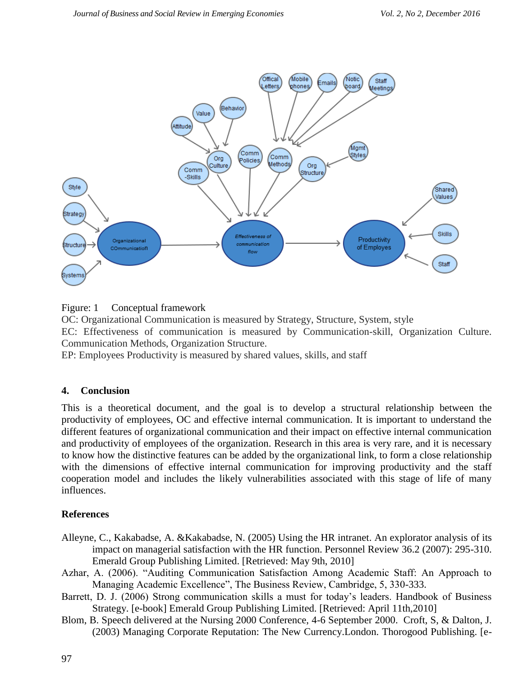

Figure: 1 Conceptual framework

OC: Organizational Communication is measured by Strategy, Structure, System, style EC: Effectiveness of communication is measured by Communication-skill, Organization Culture. Communication Methods, Organization Structure.

EP: Employees Productivity is measured by shared values, skills, and staff

# **4. Conclusion**

This is a theoretical document, and the goal is to develop a structural relationship between the productivity of employees, OC and effective internal communication. It is important to understand the different features of organizational communication and their impact on effective internal communication and productivity of employees of the organization. Research in this area is very rare, and it is necessary to know how the distinctive features can be added by the organizational link, to form a close relationship with the dimensions of effective internal communication for improving productivity and the staff cooperation model and includes the likely vulnerabilities associated with this stage of life of many influences.

# **References**

- Alleyne, C., Kakabadse, A. &Kakabadse, N. (2005) Using the HR intranet. An explorator analysis of its impact on managerial satisfaction with the HR function. Personnel Review 36.2 (2007): 295-310. Emerald Group Publishing Limited. [Retrieved: May 9th, 2010]
- Azhar, A. (2006). "Auditing Communication Satisfaction Among Academic Staff: An Approach to Managing Academic Excellence", The Business Review, Cambridge, 5, 330-333.
- Barrett, D. J. (2006) Strong communication skills a must for today's leaders. Handbook of Business Strategy. [e-book] Emerald Group Publishing Limited. [Retrieved: April 11th,2010]
- Blom, B. Speech delivered at the Nursing 2000 Conference, 4-6 September 2000. Croft, S, & Dalton, J. (2003) Managing Corporate Reputation: The New Currency.London. Thorogood Publishing. [e-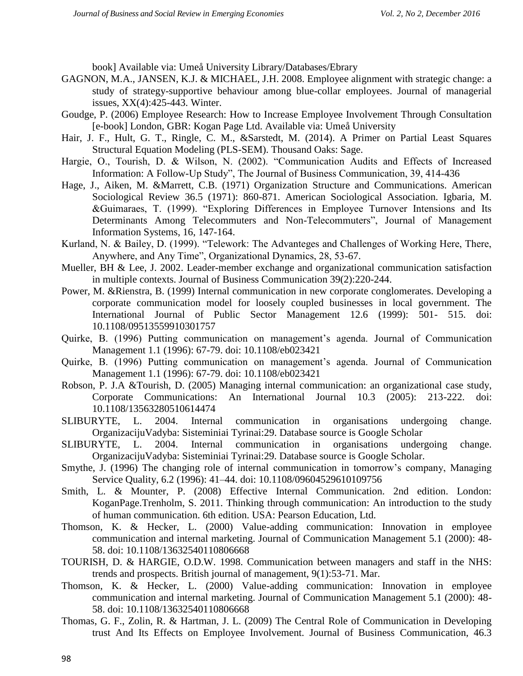book] Available via: Umeå University Library/Databases/Ebrary

- GAGNON, M.A., JANSEN, K.J. & MICHAEL, J.H. 2008. Employee alignment with strategic change: a study of strategy-supportive behaviour among blue-collar employees. Journal of managerial issues, XX(4):425-443. Winter.
- Goudge, P. (2006) Employee Research: How to Increase Employee Involvement Through Consultation [e-book] London, GBR: Kogan Page Ltd. Available via: Umeå University
- Hair, J. F., Hult, G. T., Ringle, C. M., &Sarstedt, M. (2014). A Primer on Partial Least Squares Structural Equation Modeling (PLS-SEM). Thousand Oaks: Sage.
- Hargie, O., Tourish, D. & Wilson, N. (2002). "Communication Audits and Effects of Increased Information: A Follow-Up Study", The Journal of Business Communication, 39, 414-436
- Hage, J., Aiken, M. &Marrett, C.B. (1971) Organization Structure and Communications. American Sociological Review 36.5 (1971): 860-871. American Sociological Association. Igbaria, M. &Guimaraes, T. (1999). "Exploring Differences in Employee Turnover Intensions and Its Determinants Among Telecommuters and Non-Telecommuters", Journal of Management Information Systems, 16, 147-164.
- Kurland, N. & Bailey, D. (1999). "Telework: The Advanteges and Challenges of Working Here, There, Anywhere, and Any Time", Organizational Dynamics, 28, 53-67.
- Mueller, BH & Lee, J. 2002. Leader-member exchange and organizational communication satisfaction in multiple contexts. Journal of Business Communication 39(2):220-244.
- Power, M. &Rienstra, B. (1999) Internal communication in new corporate conglomerates. Developing a corporate communication model for loosely coupled businesses in local government. The International Journal of Public Sector Management 12.6 (1999): 501- 515. doi: 10.1108/09513559910301757
- Quirke, B. (1996) Putting communication on management's agenda. Journal of Communication Management 1.1 (1996): 67-79. doi: 10.1108/eb023421
- Quirke, B. (1996) Putting communication on management's agenda. Journal of Communication Management 1.1 (1996): 67-79. doi: 10.1108/eb023421
- Robson, P. J.A &Tourish, D. (2005) Managing internal communication: an organizational case study, Corporate Communications: An International Journal 10.3 (2005): 213-222. doi: 10.1108/13563280510614474
- SLIBURYTE, L. 2004. Internal communication in organisations undergoing change. OrganizacijuVadyba: Sisteminiai Tyrinai:29. Database source is Google Scholar
- SLIBURYTE, L. 2004. Internal communication in organisations undergoing change. OrganizacijuVadyba: Sisteminiai Tyrinai:29. Database source is Google Scholar.
- Smythe, J. (1996) The changing role of internal communication in tomorrow's company, Managing Service Quality, 6.2 (1996): 41–44. doi: 10.1108/09604529610109756
- Smith, L. & Mounter, P. (2008) Effective Internal Communication. 2nd edition. London: KoganPage.Trenholm, S. 2011. Thinking through communication: An introduction to the study of human communication. 6th edition. USA: Pearson Education, Ltd.
- Thomson, K. & Hecker, L. (2000) Value-adding communication: Innovation in employee communication and internal marketing. Journal of Communication Management 5.1 (2000): 48- 58. doi: 10.1108/13632540110806668
- TOURISH, D. & HARGIE, O.D.W. 1998. Communication between managers and staff in the NHS: trends and prospects. British journal of management, 9(1):53-71. Mar.
- Thomson, K. & Hecker, L. (2000) Value-adding communication: Innovation in employee communication and internal marketing. Journal of Communication Management 5.1 (2000): 48- 58. doi: 10.1108/13632540110806668
- Thomas, G. F., Zolin, R. & Hartman, J. L. (2009) The Central Role of Communication in Developing trust And Its Effects on Employee Involvement. Journal of Business Communication, 46.3